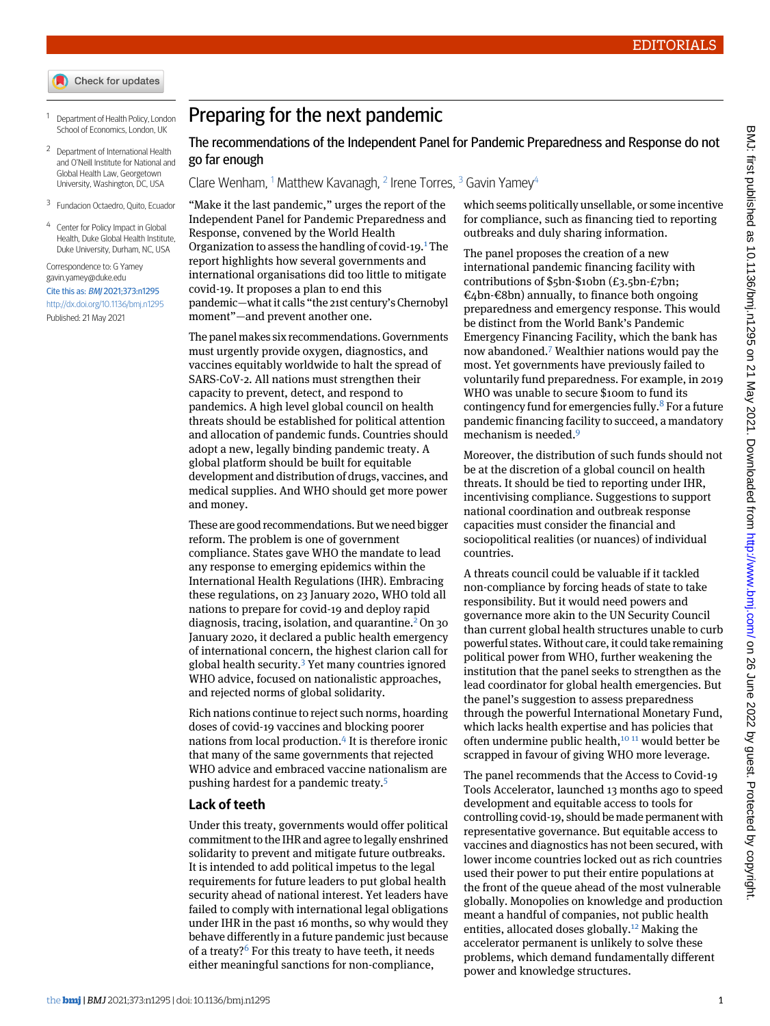- Check for updates
- <span id="page-0-1"></span><span id="page-0-0"></span><sup>1</sup> Department of Health Policy, London School of Economics, London, UK
- <span id="page-0-2"></span><sup>2</sup> Department of International Health and O'Neill Institute for National and Global Health Law, Georgetown University, Washington, DC, USA
- <span id="page-0-3"></span>3 Fundacion Octaedro, Quito, Ecuador
- Center for Policy Impact in Global Health, Duke Global Health Institute, Duke University, Durham, NC, USA

Correspondence to: G Yamey [gavin.yamey@duke.edu](mailto:gavin.yamey@duke.edu) Cite this as: BMJ 2021;373:n1295 <http://dx.doi.org/10.1136/bmj.n1295> Published: 21 May 2021

## Preparing for the next pandemic

The recommendations of the Independent Panel for Pandemic Preparedness and Response do not go far enough

Clare Wenham, <sup>[1](#page-0-0)</sup> Matthew Kavanagh, <sup>[2](#page-0-1)</sup> Irene Torres, <sup>[3](#page-0-2)</sup> Gavin Yamey<sup>[4](#page-0-3)</sup>

"Make it the last pandemic," urges the report of the Independent Panel for Pandemic Preparedness and Response, convened by the World Health Organization to assess the handling of covid-[1](#page-1-0)9.<sup>1</sup> The report highlights how several governments and international organisations did too little to mitigate covid-19. It proposes a plan to end this pandemic—what it calls "the 21st century's Chernobyl moment"—and prevent another one.

The panel makes six recommendations. Governments must urgently provide oxygen, diagnostics, and vaccines equitably worldwide to halt the spread of SARS-CoV-2. All nations must strengthen their capacity to prevent, detect, and respond to pandemics. A high level global council on health threats should be established for political attention and allocation of pandemic funds. Countries should adopt a new, legally binding pandemic treaty. A global platform should be built for equitable development and distribution of drugs, vaccines, and medical supplies. And WHO should get more power and money.

These are good recommendations. But we need bigger reform. The problem is one of government compliance. States gave WHO the mandate to lead any response to emerging epidemics within the International Health Regulations (IHR). Embracing these regulations, on 23 January 2020, WHO told all nations to prepare for covid-19 and deploy rapid diagnosis, tracing, isolation, and quarantine.<sup>[2](#page-1-1)</sup> On 30 January 2020, it declared a public health emergency of international concern, the highest clarion call for global health security.[3](#page-1-2) Yet many countries ignored WHO advice, focused on nationalistic approaches, and rejected norms of global solidarity.

Rich nations continue to reject such norms, hoarding doses of covid-19 vaccines and blocking poorer nations from local production.<sup>[4](#page-1-3)</sup> It is therefore ironic that many of the same governments that rejected WHO advice and embraced vaccine nationalism are pushing hardest for a pandemic treaty.[5](#page-1-4)

## **Lack of teeth**

Under this treaty, governments would offer political commitment to the IHR and agree to legally enshrined solidarity to prevent and mitigate future outbreaks. It is intended to add political impetus to the legal requirements for future leaders to put global health security ahead of national interest. Yet leaders have failed to comply with international legal obligations under IHR in the past 16 months, so why would they behave differently in a future pandemic just because of a treaty? $6$  For this treaty to have teeth, it needs either meaningful sanctions for non-compliance,

which seems politically unsellable, or some incentive for compliance, such as financing tied to reporting outbreaks and duly sharing information.

The panel proposes the creation of a new international pandemic financing facility with contributions of \$5bn-\$10bn (£3.5bn-£7bn; €4bn-€8bn) annually, to finance both ongoing preparedness and emergency response. This would be distinct from the World Bank's Pandemic Emergency Financing Facility, which the bank has now abandoned.[7](#page-1-6) Wealthier nations would pay the most. Yet governments have previously failed to voluntarily fund preparedness. For example, in 2019 WHO was unable to secure \$100m to fund its contingency fund for emergencies fully. $8$  For a future pandemic financing facility to succeed, a mandatory mechanism is needed.[9](#page-1-8)

Moreover, the distribution of such funds should not be at the discretion of a global council on health threats. It should be tied to reporting under IHR, incentivising compliance. Suggestions to support national coordination and outbreak response capacities must consider the financial and sociopolitical realities (or nuances) of individual countries.

A threats council could be valuable if it tackled non-compliance by forcing heads of state to take responsibility. But it would need powers and governance more akin to the UN Security Council than current global health structures unable to curb powerful states. Without care, it could take remaining political power from WHO, further weakening the institution that the panel seeks to strengthen as the lead coordinator for global health emergencies. But the panel's suggestion to assess preparedness through the powerful International Monetary Fund, which lacks health expertise and has policies that often undermine public health,<sup>[10](#page-1-9) [11](#page-1-10)</sup> would better be scrapped in favour of giving WHO more leverage.

The panel recommends that the Access to Covid-19 Tools Accelerator, launched 13 months ago to speed development and equitable access to tools for controlling covid-19, should be made permanent with representative governance. But equitable access to vaccines and diagnostics has not been secured, with lower income countries locked out as rich countries used their power to put their entire populations at the front of the queue ahead of the most vulnerable globally. Monopolies on knowledge and production meant a handful of companies, not public health entities, allocated doses globally.[12](#page-1-11) Making the accelerator permanent is unlikely to solve these problems, which demand fundamentally different power and knowledge structures.